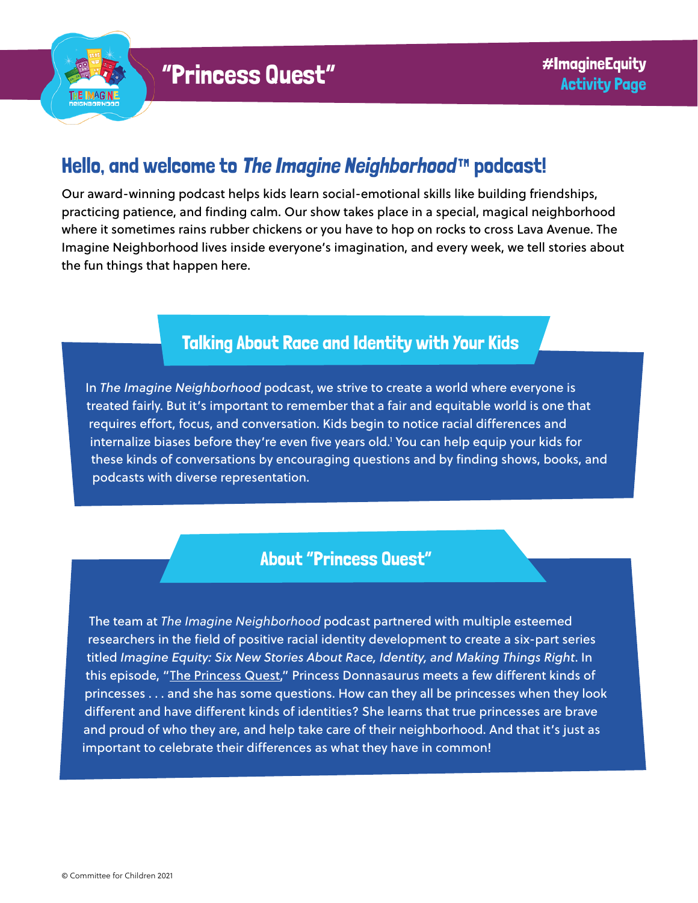

# Hello, and welcome to [The Imagine Neighborhood](https://www.imagineneighborhood.org/)™ podcast!

Our award-winning podcast helps kids learn social-emotional skills like building friendships, practicing patience, and finding calm. Our show takes place in a special, magical neighborhood where it sometimes rains rubber chickens or you have to hop on rocks to cross Lava Avenue. The Imagine Neighborhood lives inside everyone's imagination, and every week, we tell stories about the fun things that happen here.

### Talking About Race and Identity with Your Kids

In *The Imagine Neighborhood* podcast, we strive to create a world where everyone is treated fairly. But it's important to remember that a fair and equitable world is one that requires effort, focus, and conversation. Kids begin to notice racial differences and internalize biases before they're even five years old.1 You can help equip your kids for these kinds of conversations by encouraging questions and by finding shows, books, and podcasts with diverse representation.

#### About "Princess Quest"

The team at *The Imagine Neighborhood* podcast partnered with multiple esteemed researchers in the field of positive racial identity development to create a six-part series titled *Imagine Equity: Six New Stories About Race, Identity, and Making Things Right*. In this episode, "[The Princess Quest,](https://www.imagineneighborhood.org/imagineequity)" Princess Donnasaurus meets a few different kinds of princesses . . . and she has some questions. How can they all be princesses when they look different and have different kinds of identities? She learns that true princesses are brave and proud of who they are, and help take care of their neighborhood. And that it's just as important to celebrate their differences as what they have in common!